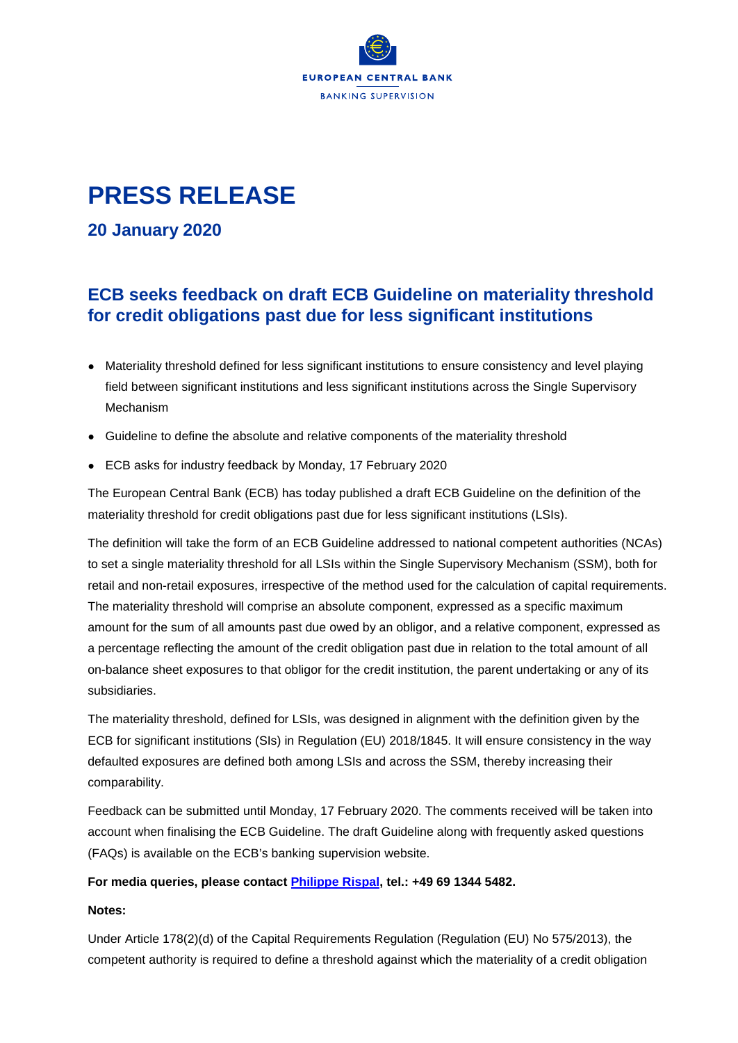

## **PRESS RELEASE**

**20 January 2020** 

## **ECB seeks feedback on draft ECB Guideline on materiality threshold for credit obligations past due for less significant institutions**

- Materiality threshold defined for less significant institutions to ensure consistency and level playing field between significant institutions and less significant institutions across the Single Supervisory Mechanism
- Guideline to define the absolute and relative components of the materiality threshold
- ECB asks for industry feedback by Monday, 17 February 2020

The European Central Bank (ECB) has today published a draft ECB Guideline on the definition of the materiality threshold for credit obligations past due for less significant institutions (LSIs).

The definition will take the form of an ECB Guideline addressed to national competent authorities (NCAs) to set a single materiality threshold for all LSIs within the Single Supervisory Mechanism (SSM), both for retail and non-retail exposures, irrespective of the method used for the calculation of capital requirements. The materiality threshold will comprise an absolute component, expressed as a specific maximum amount for the sum of all amounts past due owed by an obligor, and a relative component, expressed as a percentage reflecting the amount of the credit obligation past due in relation to the total amount of all on-balance sheet exposures to that obligor for the credit institution, the parent undertaking or any of its subsidiaries.

The materiality threshold, defined for LSIs, was designed in alignment with the definition given by the ECB for significant institutions (SIs) in Regulation (EU) 2018/1845. It will ensure consistency in the way defaulted exposures are defined both among LSIs and across the SSM, thereby increasing their comparability.

Feedback can be submitted until Monday, 17 February 2020. The comments received will be taken into account when finalising the ECB Guideline. The draft Guideline along with frequently asked questions (FAQs) is available on the ECB's banking supervision website.

## **For media queries, please contact [Philippe Rispal,](mailto:Philippe.Rispal@ecb.europa.eu) tel.: +49 69 1344 5482.**

## **Notes:**

Under Article 178(2)(d) of the Capital Requirements Regulation (Regulation (EU) No 575/2013), the competent authority is required to define a threshold against which the materiality of a credit obligation